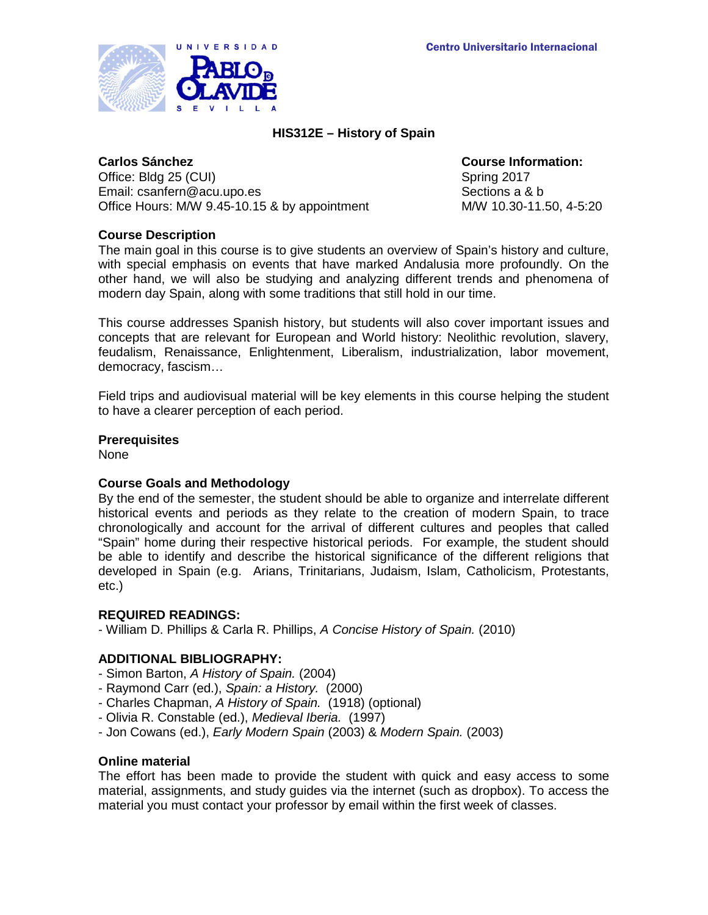

# **HIS312E – History of Spain**

Office: Bldg 25 (CUI) Spring 2017 Email: csanfern@acu.upo.es Sections a & b Office Hours: M/W 9.45-10.15 & by appointment M/W 10.30-11.50, 4-5:20

**Carlos Sánchez Course Information:**

# **Course Description**

The main goal in this course is to give students an overview of Spain's history and culture, with special emphasis on events that have marked Andalusia more profoundly. On the other hand, we will also be studying and analyzing different trends and phenomena of modern day Spain, along with some traditions that still hold in our time.

This course addresses Spanish history, but students will also cover important issues and concepts that are relevant for European and World history: Neolithic revolution, slavery, feudalism, Renaissance, Enlightenment, Liberalism, industrialization, labor movement, democracy, fascism…

Field trips and audiovisual material will be key elements in this course helping the student to have a clearer perception of each period.

## **Prerequisites**

None

## **Course Goals and Methodology**

By the end of the semester, the student should be able to organize and interrelate different historical events and periods as they relate to the creation of modern Spain, to trace chronologically and account for the arrival of different cultures and peoples that called "Spain" home during their respective historical periods. For example, the student should be able to identify and describe the historical significance of the different religions that developed in Spain (e.g. Arians, Trinitarians, Judaism, Islam, Catholicism, Protestants, etc.)

## **REQUIRED READINGS:**

- William D. Phillips & Carla R. Phillips, *A Concise History of Spain.* (2010)

## **ADDITIONAL BIBLIOGRAPHY:**

- Simon Barton, *A History of Spain.* (2004)
- Raymond Carr (ed.), *Spain: a History.* (2000)
- Charles Chapman, *A History of Spain.* (1918) (optional)
- Olivia R. Constable (ed.), *Medieval Iberia.* (1997)
- Jon Cowans (ed.), *Early Modern Spain* (2003) & *Modern Spain.* (2003)

#### **Online material**

The effort has been made to provide the student with quick and easy access to some material, assignments, and study guides via the internet (such as dropbox). To access the material you must contact your professor by email within the first week of classes.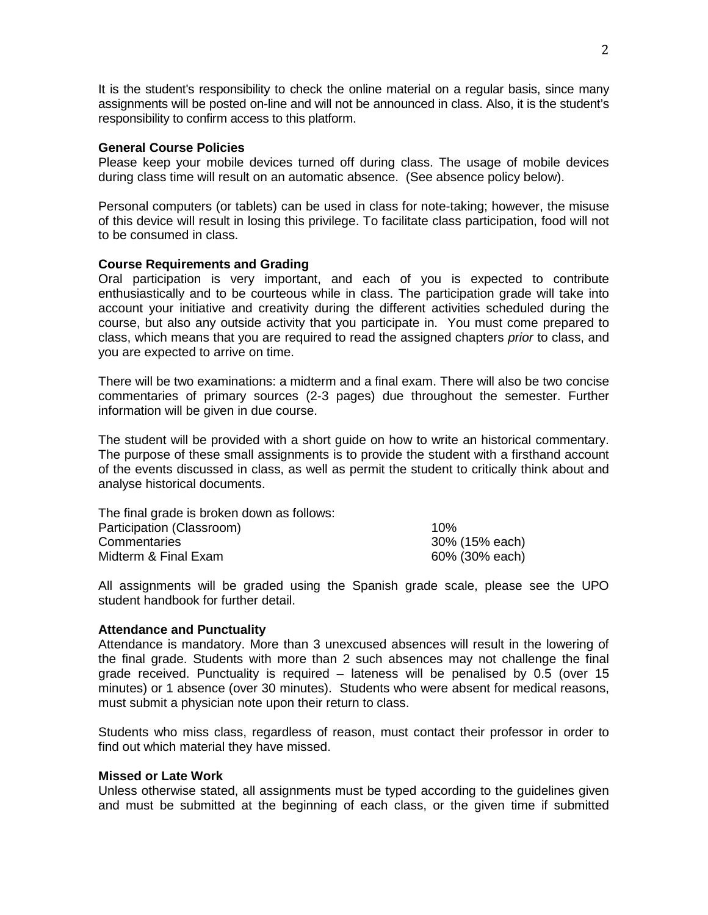It is the student's responsibility to check the online material on a regular basis, since many assignments will be posted on-line and will not be announced in class. Also, it is the student's responsibility to confirm access to this platform.

## **General Course Policies**

Please keep your mobile devices turned off during class. The usage of mobile devices during class time will result on an automatic absence. (See absence policy below).

Personal computers (or tablets) can be used in class for note-taking; however, the misuse of this device will result in losing this privilege. To facilitate class participation, food will not to be consumed in class.

### **Course Requirements and Grading**

Oral participation is very important, and each of you is expected to contribute enthusiastically and to be courteous while in class. The participation grade will take into account your initiative and creativity during the different activities scheduled during the course, but also any outside activity that you participate in. You must come prepared to class, which means that you are required to read the assigned chapters *prior* to class, and you are expected to arrive on time.

There will be two examinations: a midterm and a final exam. There will also be two concise commentaries of primary sources (2-3 pages) due throughout the semester. Further information will be given in due course.

The student will be provided with a short guide on how to write an historical commentary. The purpose of these small assignments is to provide the student with a firsthand account of the events discussed in class, as well as permit the student to critically think about and analyse historical documents.

| 10%            |
|----------------|
| 30% (15% each) |
| 60% (30% each) |
|                |

All assignments will be graded using the Spanish grade scale, please see the UPO student handbook for further detail.

#### **Attendance and Punctuality**

Attendance is mandatory. More than 3 unexcused absences will result in the lowering of the final grade. Students with more than 2 such absences may not challenge the final grade received. Punctuality is required – lateness will be penalised by 0.5 (over 15 minutes) or 1 absence (over 30 minutes). Students who were absent for medical reasons, must submit a physician note upon their return to class.

Students who miss class, regardless of reason, must contact their professor in order to find out which material they have missed.

### **Missed or Late Work**

Unless otherwise stated, all assignments must be typed according to the guidelines given and must be submitted at the beginning of each class, or the given time if submitted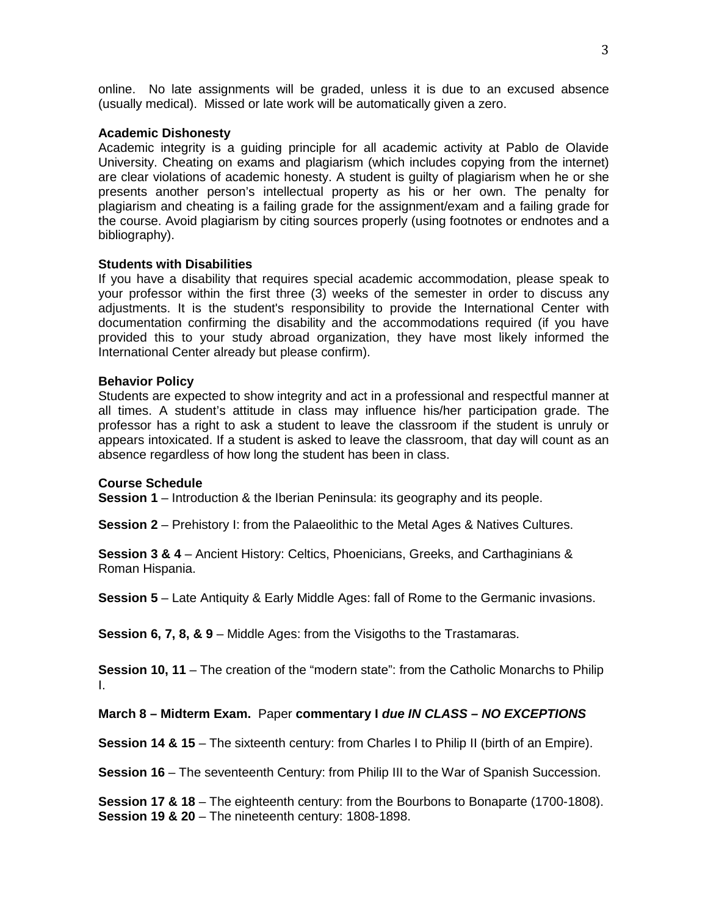online. No late assignments will be graded, unless it is due to an excused absence (usually medical). Missed or late work will be automatically given a zero.

## **Academic Dishonesty**

Academic integrity is a guiding principle for all academic activity at Pablo de Olavide University. Cheating on exams and plagiarism (which includes copying from the internet) are clear violations of academic honesty. A student is guilty of plagiarism when he or she presents another person's intellectual property as his or her own. The penalty for plagiarism and cheating is a failing grade for the assignment/exam and a failing grade for the course. Avoid plagiarism by citing sources properly (using footnotes or endnotes and a bibliography).

## **Students with Disabilities**

If you have a disability that requires special academic accommodation, please speak to your professor within the first three (3) weeks of the semester in order to discuss any adjustments. It is the student's responsibility to provide the International Center with documentation confirming the disability and the accommodations required (if you have provided this to your study abroad organization, they have most likely informed the International Center already but please confirm).

## **Behavior Policy**

Students are expected to show integrity and act in a professional and respectful manner at all times. A student's attitude in class may influence his/her participation grade. The professor has a right to ask a student to leave the classroom if the student is unruly or appears intoxicated. If a student is asked to leave the classroom, that day will count as an absence regardless of how long the student has been in class.

## **Course Schedule**

**Session 1** – Introduction & the Iberian Peninsula: its geography and its people.

**Session 2** – Prehistory I: from the Palaeolithic to the Metal Ages & Natives Cultures.

**Session 3 & 4** – Ancient History: Celtics, Phoenicians, Greeks, and Carthaginians & Roman Hispania.

**Session 5** – Late Antiquity & Early Middle Ages: fall of Rome to the Germanic invasions.

**Session 6, 7, 8, & 9** – Middle Ages: from the Visigoths to the Trastamaras.

**Session 10, 11** – The creation of the "modern state": from the Catholic Monarchs to Philip I.

## **March 8 – Midterm Exam.** Paper **commentary I** *due IN CLASS – NO EXCEPTIONS*

**Session 14 & 15** – The sixteenth century: from Charles I to Philip II (birth of an Empire).

**Session 16** – The seventeenth Century: from Philip III to the War of Spanish Succession.

**Session 17 & 18** – The eighteenth century: from the Bourbons to Bonaparte (1700-1808). **Session 19 & 20** – The nineteenth century: 1808-1898.